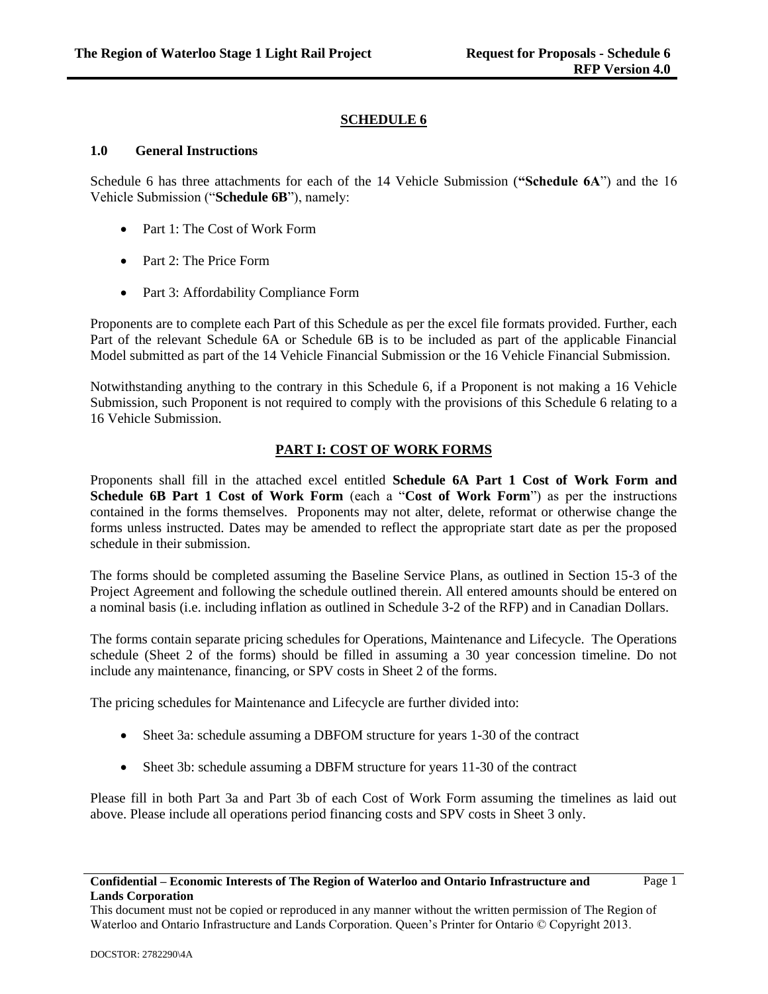## **SCHEDULE 6**

### **1.0 General Instructions**

Schedule 6 has three attachments for each of the 14 Vehicle Submission (**"Schedule 6A**") and the 16 Vehicle Submission ("**Schedule 6B**"), namely:

- Part 1: The Cost of Work Form
- Part 2: The Price Form
- Part 3: Affordability Compliance Form

Proponents are to complete each Part of this Schedule as per the excel file formats provided. Further, each Part of the relevant Schedule 6A or Schedule 6B is to be included as part of the applicable Financial Model submitted as part of the 14 Vehicle Financial Submission or the 16 Vehicle Financial Submission.

Notwithstanding anything to the contrary in this Schedule 6, if a Proponent is not making a 16 Vehicle Submission, such Proponent is not required to comply with the provisions of this Schedule 6 relating to a 16 Vehicle Submission.

# **PART I: COST OF WORK FORMS**

Proponents shall fill in the attached excel entitled **Schedule 6A Part 1 Cost of Work Form and Schedule 6B Part 1 Cost of Work Form** (each a "**Cost of Work Form**") as per the instructions contained in the forms themselves. Proponents may not alter, delete, reformat or otherwise change the forms unless instructed. Dates may be amended to reflect the appropriate start date as per the proposed schedule in their submission.

The forms should be completed assuming the Baseline Service Plans, as outlined in Section 15-3 of the Project Agreement and following the schedule outlined therein. All entered amounts should be entered on a nominal basis (i.e. including inflation as outlined in Schedule 3-2 of the RFP) and in Canadian Dollars.

The forms contain separate pricing schedules for Operations, Maintenance and Lifecycle. The Operations schedule (Sheet 2 of the forms) should be filled in assuming a 30 year concession timeline. Do not include any maintenance, financing, or SPV costs in Sheet 2 of the forms.

The pricing schedules for Maintenance and Lifecycle are further divided into:

- Sheet 3a: schedule assuming a DBFOM structure for years 1-30 of the contract
- Sheet 3b: schedule assuming a DBFM structure for years 11-30 of the contract

Please fill in both Part 3a and Part 3b of each Cost of Work Form assuming the timelines as laid out above. Please include all operations period financing costs and SPV costs in Sheet 3 only.

This document must not be copied or reproduced in any manner without the written permission of The Region of Waterloo and Ontario Infrastructure and Lands Corporation. Queen's Printer for Ontario © Copyright 2013.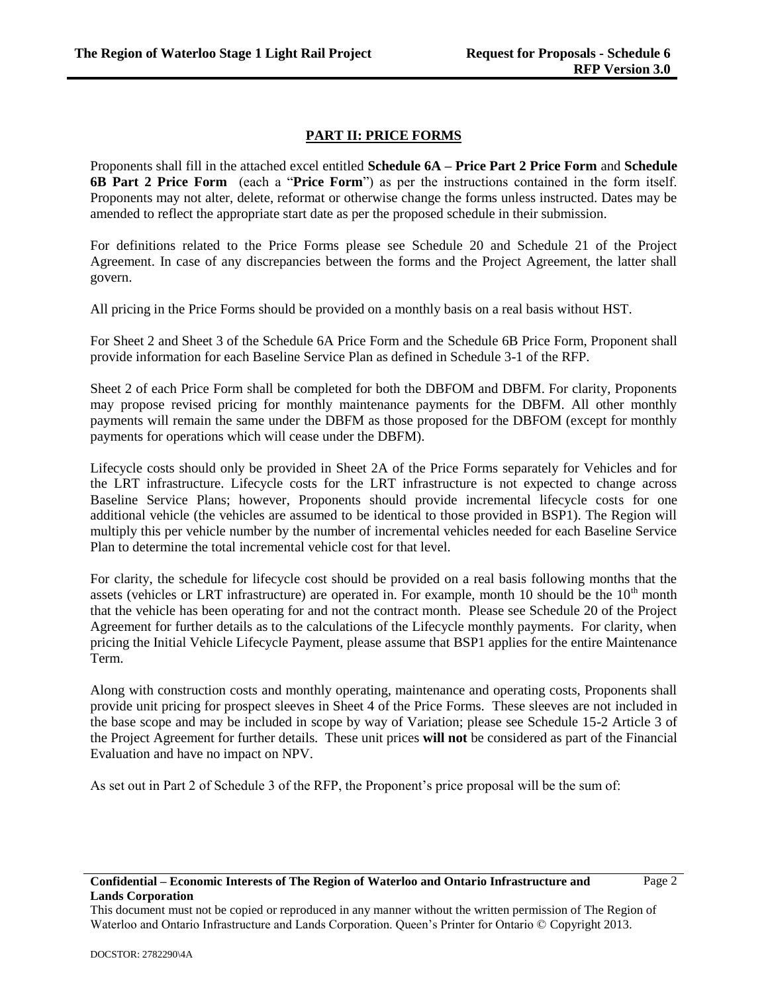### **PART II: PRICE FORMS**

Proponents shall fill in the attached excel entitled **Schedule 6A – Price Part 2 Price Form** and **Schedule 6B Part 2 Price Form** (each a "**Price Form**") as per the instructions contained in the form itself. Proponents may not alter, delete, reformat or otherwise change the forms unless instructed. Dates may be amended to reflect the appropriate start date as per the proposed schedule in their submission.

For definitions related to the Price Forms please see Schedule 20 and Schedule 21 of the Project Agreement. In case of any discrepancies between the forms and the Project Agreement, the latter shall govern.

All pricing in the Price Forms should be provided on a monthly basis on a real basis without HST.

For Sheet 2 and Sheet 3 of the Schedule 6A Price Form and the Schedule 6B Price Form, Proponent shall provide information for each Baseline Service Plan as defined in Schedule 3-1 of the RFP.

Sheet 2 of each Price Form shall be completed for both the DBFOM and DBFM. For clarity, Proponents may propose revised pricing for monthly maintenance payments for the DBFM. All other monthly payments will remain the same under the DBFM as those proposed for the DBFOM (except for monthly payments for operations which will cease under the DBFM).

Lifecycle costs should only be provided in Sheet 2A of the Price Forms separately for Vehicles and for the LRT infrastructure. Lifecycle costs for the LRT infrastructure is not expected to change across Baseline Service Plans; however, Proponents should provide incremental lifecycle costs for one additional vehicle (the vehicles are assumed to be identical to those provided in BSP1). The Region will multiply this per vehicle number by the number of incremental vehicles needed for each Baseline Service Plan to determine the total incremental vehicle cost for that level.

For clarity, the schedule for lifecycle cost should be provided on a real basis following months that the assets (vehicles or LRT infrastructure) are operated in. For example, month 10 should be the  $10<sup>th</sup>$  month that the vehicle has been operating for and not the contract month. Please see Schedule 20 of the Project Agreement for further details as to the calculations of the Lifecycle monthly payments. For clarity, when pricing the Initial Vehicle Lifecycle Payment, please assume that BSP1 applies for the entire Maintenance Term.

Along with construction costs and monthly operating, maintenance and operating costs, Proponents shall provide unit pricing for prospect sleeves in Sheet 4 of the Price Forms. These sleeves are not included in the base scope and may be included in scope by way of Variation; please see Schedule 15-2 Article 3 of the Project Agreement for further details. These unit prices **will not** be considered as part of the Financial Evaluation and have no impact on NPV.

As set out in Part 2 of Schedule 3 of the RFP, the Proponent's price proposal will be the sum of:

This document must not be copied or reproduced in any manner without the written permission of The Region of Waterloo and Ontario Infrastructure and Lands Corporation. Queen's Printer for Ontario © Copyright 2013.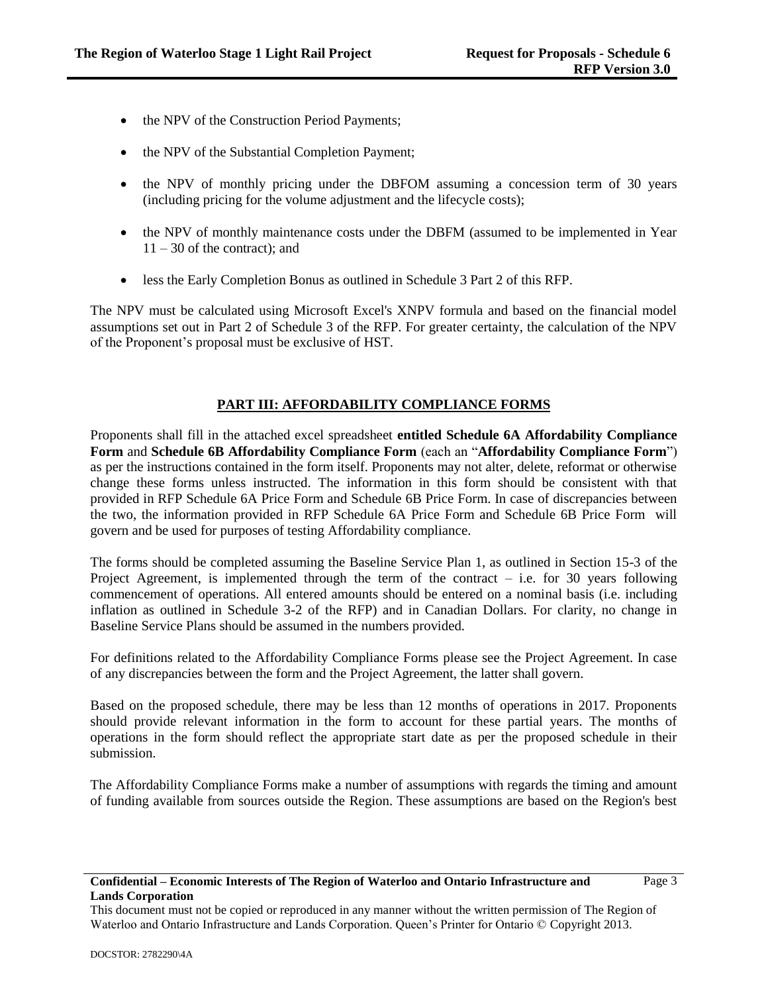- the NPV of the Construction Period Payments;
- the NPV of the Substantial Completion Payment;
- the NPV of monthly pricing under the DBFOM assuming a concession term of 30 years (including pricing for the volume adjustment and the lifecycle costs);
- the NPV of monthly maintenance costs under the DBFM (assumed to be implemented in Year  $11 - 30$  of the contract); and
- less the Early Completion Bonus as outlined in Schedule 3 Part 2 of this RFP.

The NPV must be calculated using Microsoft Excel's XNPV formula and based on the financial model assumptions set out in Part 2 of Schedule 3 of the RFP. For greater certainty, the calculation of the NPV of the Proponent's proposal must be exclusive of HST.

## **PART III: AFFORDABILITY COMPLIANCE FORMS**

Proponents shall fill in the attached excel spreadsheet **entitled Schedule 6A Affordability Compliance Form** and **Schedule 6B Affordability Compliance Form** (each an "**Affordability Compliance Form**") as per the instructions contained in the form itself. Proponents may not alter, delete, reformat or otherwise change these forms unless instructed. The information in this form should be consistent with that provided in RFP Schedule 6A Price Form and Schedule 6B Price Form. In case of discrepancies between the two, the information provided in RFP Schedule 6A Price Form and Schedule 6B Price Form will govern and be used for purposes of testing Affordability compliance.

The forms should be completed assuming the Baseline Service Plan 1, as outlined in Section 15-3 of the Project Agreement, is implemented through the term of the contract  $-$  i.e. for 30 years following commencement of operations. All entered amounts should be entered on a nominal basis (i.e. including inflation as outlined in Schedule 3-2 of the RFP) and in Canadian Dollars. For clarity, no change in Baseline Service Plans should be assumed in the numbers provided.

For definitions related to the Affordability Compliance Forms please see the Project Agreement. In case of any discrepancies between the form and the Project Agreement, the latter shall govern.

Based on the proposed schedule, there may be less than 12 months of operations in 2017. Proponents should provide relevant information in the form to account for these partial years. The months of operations in the form should reflect the appropriate start date as per the proposed schedule in their submission.

The Affordability Compliance Forms make a number of assumptions with regards the timing and amount of funding available from sources outside the Region. These assumptions are based on the Region's best

#### **Confidential – Economic Interests of The Region of Waterloo and Ontario Infrastructure and Lands Corporation**

This document must not be copied or reproduced in any manner without the written permission of The Region of Waterloo and Ontario Infrastructure and Lands Corporation. Queen's Printer for Ontario © Copyright 2013.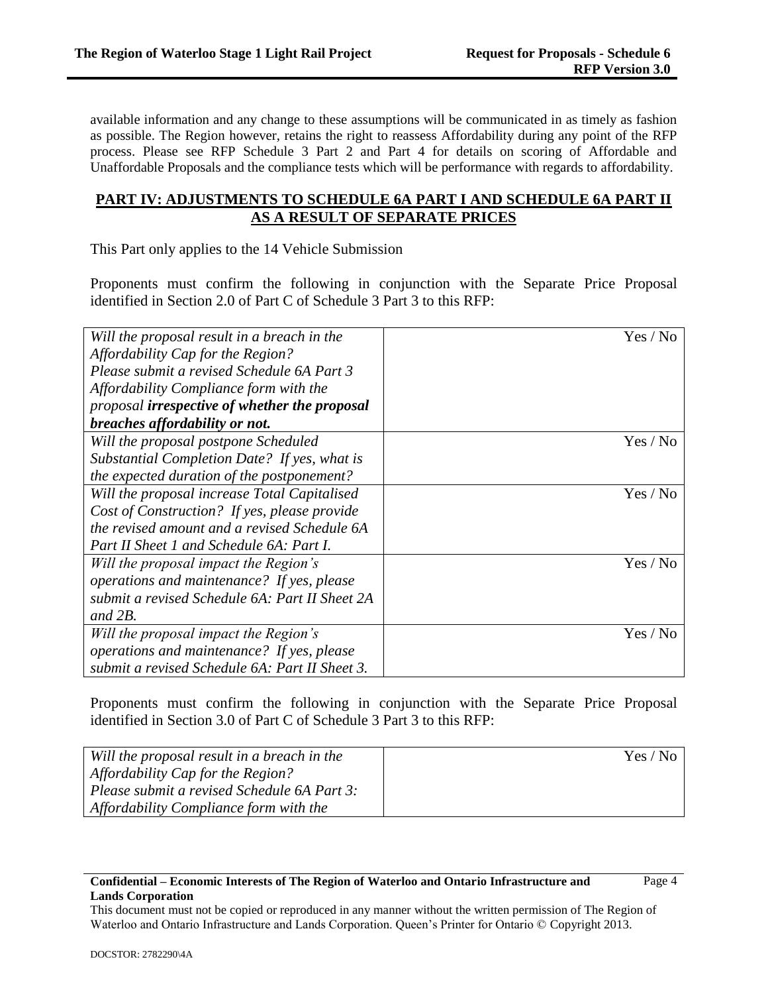Page 4

available information and any change to these assumptions will be communicated in as timely as fashion as possible. The Region however, retains the right to reassess Affordability during any point of the RFP process. Please see RFP Schedule 3 Part 2 and Part 4 for details on scoring of Affordable and Unaffordable Proposals and the compliance tests which will be performance with regards to affordability.

# **PART IV: ADJUSTMENTS TO SCHEDULE 6A PART I AND SCHEDULE 6A PART II AS A RESULT OF SEPARATE PRICES**

This Part only applies to the 14 Vehicle Submission

Proponents must confirm the following in conjunction with the Separate Price Proposal identified in Section 2.0 of Part C of Schedule 3 Part 3 to this RFP:

| Will the proposal result in a breach in the    | Yes / No |
|------------------------------------------------|----------|
| Affordability Cap for the Region?              |          |
| Please submit a revised Schedule 6A Part 3     |          |
| Affordability Compliance form with the         |          |
| proposal irrespective of whether the proposal  |          |
| breaches affordability or not.                 |          |
| Will the proposal postpone Scheduled           | Yes / No |
| Substantial Completion Date? If yes, what is   |          |
| the expected duration of the postponement?     |          |
| Will the proposal increase Total Capitalised   | Yes / No |
| Cost of Construction? If yes, please provide   |          |
| the revised amount and a revised Schedule 6A   |          |
| Part II Sheet 1 and Schedule 6A: Part I.       |          |
| Will the proposal impact the Region's          | Yes / No |
| operations and maintenance? If yes, please     |          |
| submit a revised Schedule 6A: Part II Sheet 2A |          |
| and $2B$ .                                     |          |
| Will the proposal impact the Region's          | Yes / No |
| operations and maintenance? If yes, please     |          |
| submit a revised Schedule 6A: Part II Sheet 3. |          |

Proponents must confirm the following in conjunction with the Separate Price Proposal identified in Section 3.0 of Part C of Schedule 3 Part 3 to this RFP:

| Will the proposal result in a breach in the | Yes / No |
|---------------------------------------------|----------|
| Affordability Cap for the Region?           |          |
| Please submit a revised Schedule 6A Part 3: |          |
| Affordability Compliance form with the      |          |

#### **Confidential – Economic Interests of The Region of Waterloo and Ontario Infrastructure and Lands Corporation**

This document must not be copied or reproduced in any manner without the written permission of The Region of Waterloo and Ontario Infrastructure and Lands Corporation. Queen's Printer for Ontario © Copyright 2013.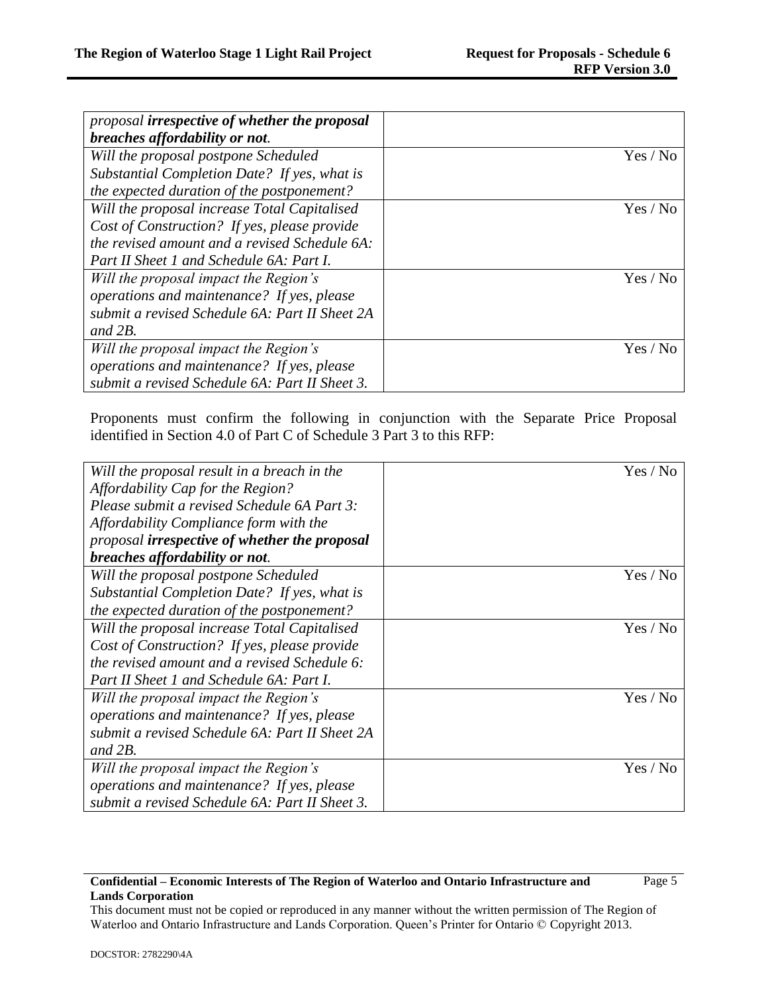| proposal irrespective of whether the proposal  |          |
|------------------------------------------------|----------|
| breaches affordability or not.                 |          |
| Will the proposal postpone Scheduled           | Yes / No |
| Substantial Completion Date? If yes, what is   |          |
| the expected duration of the postponement?     |          |
| Will the proposal increase Total Capitalised   | Yes / No |
| Cost of Construction? If yes, please provide   |          |
| the revised amount and a revised Schedule 6A:  |          |
| Part II Sheet 1 and Schedule 6A: Part I.       |          |
| Will the proposal impact the Region's          | Yes / No |
| operations and maintenance? If yes, please     |          |
| submit a revised Schedule 6A: Part II Sheet 2A |          |
| and $2B$ .                                     |          |
| Will the proposal impact the Region's          | Yes / No |
| operations and maintenance? If yes, please     |          |
| submit a revised Schedule 6A: Part II Sheet 3. |          |

Proponents must confirm the following in conjunction with the Separate Price Proposal identified in Section 4.0 of Part C of Schedule 3 Part 3 to this RFP:

| Will the proposal result in a breach in the    | Yes / No |
|------------------------------------------------|----------|
| Affordability Cap for the Region?              |          |
| Please submit a revised Schedule 6A Part 3:    |          |
| Affordability Compliance form with the         |          |
| proposal irrespective of whether the proposal  |          |
| breaches affordability or not.                 |          |
| Will the proposal postpone Scheduled           | Yes / No |
| Substantial Completion Date? If yes, what is   |          |
| the expected duration of the postponement?     |          |
| Will the proposal increase Total Capitalised   | Yes / No |
| Cost of Construction? If yes, please provide   |          |
| the revised amount and a revised Schedule 6:   |          |
| Part II Sheet 1 and Schedule 6A: Part I.       |          |
| Will the proposal impact the Region's          | Yes / No |
| operations and maintenance? If yes, please     |          |
| submit a revised Schedule 6A: Part II Sheet 2A |          |
| and $2B$ .                                     |          |
| Will the proposal impact the Region's          | Yes / No |
| operations and maintenance? If yes, please     |          |
| submit a revised Schedule 6A: Part II Sheet 3. |          |

#### **Confidential – Economic Interests of The Region of Waterloo and Ontario Infrastructure and Lands Corporation**

This document must not be copied or reproduced in any manner without the written permission of The Region of Waterloo and Ontario Infrastructure and Lands Corporation. Queen's Printer for Ontario © Copyright 2013.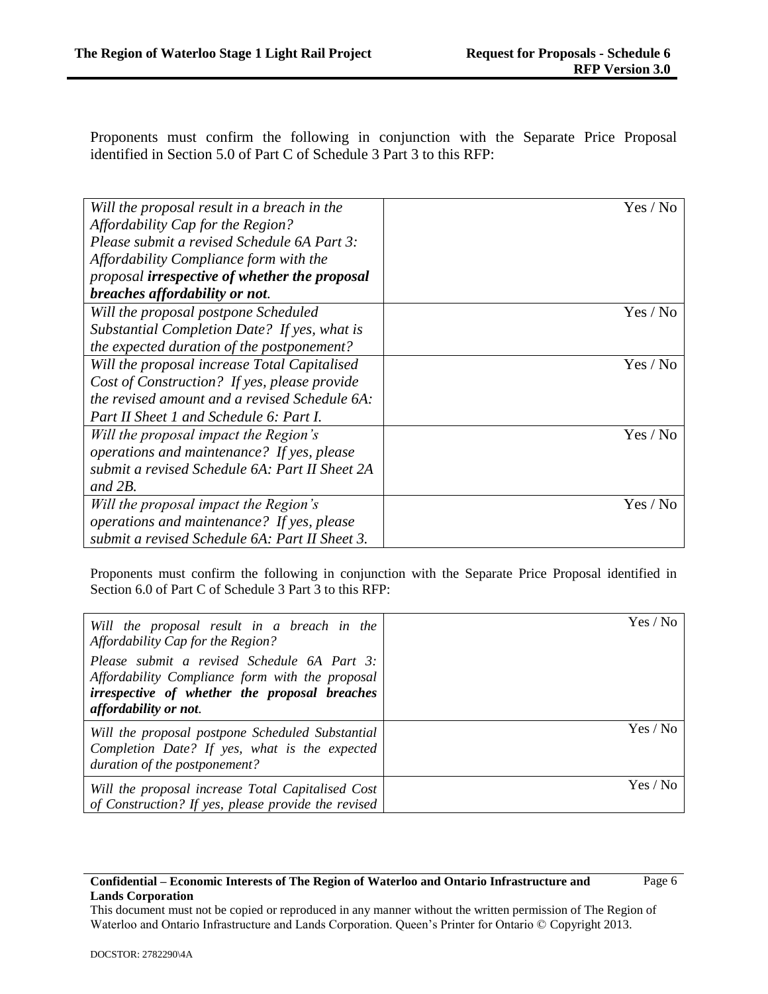Proponents must confirm the following in conjunction with the Separate Price Proposal identified in Section 5.0 of Part C of Schedule 3 Part 3 to this RFP:

| Will the proposal result in a breach in the    | Yes / No |
|------------------------------------------------|----------|
| Affordability Cap for the Region?              |          |
| Please submit a revised Schedule 6A Part 3:    |          |
| Affordability Compliance form with the         |          |
| proposal irrespective of whether the proposal  |          |
| breaches affordability or not.                 |          |
| Will the proposal postpone Scheduled           | Yes / No |
| Substantial Completion Date? If yes, what is   |          |
| the expected duration of the postponement?     |          |
| Will the proposal increase Total Capitalised   | Yes / No |
| Cost of Construction? If yes, please provide   |          |
| the revised amount and a revised Schedule 6A:  |          |
| Part II Sheet 1 and Schedule 6: Part I.        |          |
| Will the proposal impact the Region's          | Yes / No |
| operations and maintenance? If yes, please     |          |
| submit a revised Schedule 6A: Part II Sheet 2A |          |
| and $2B$ .                                     |          |
| Will the proposal impact the Region's          | Yes / No |
| operations and maintenance? If yes, please     |          |
| submit a revised Schedule 6A: Part II Sheet 3. |          |

Proponents must confirm the following in conjunction with the Separate Price Proposal identified in Section 6.0 of Part C of Schedule 3 Part 3 to this RFP:

| Will the proposal result in a breach in the<br>Affordability Cap for the Region?<br>Please submit a revised Schedule 6A Part 3:<br>Affordability Compliance form with the proposal<br><i>irrespective of whether the proposal breaches</i><br><i>affordability or not.</i> | Yes / No |
|----------------------------------------------------------------------------------------------------------------------------------------------------------------------------------------------------------------------------------------------------------------------------|----------|
| Will the proposal postpone Scheduled Substantial<br>Completion Date? If yes, what is the expected<br>duration of the postponement?                                                                                                                                         | Yes / No |
| Will the proposal increase Total Capitalised Cost<br>of Construction? If yes, please provide the revised                                                                                                                                                                   | Yes / No |

### **Confidential – Economic Interests of The Region of Waterloo and Ontario Infrastructure and Lands Corporation**

This document must not be copied or reproduced in any manner without the written permission of The Region of Waterloo and Ontario Infrastructure and Lands Corporation. Queen's Printer for Ontario © Copyright 2013.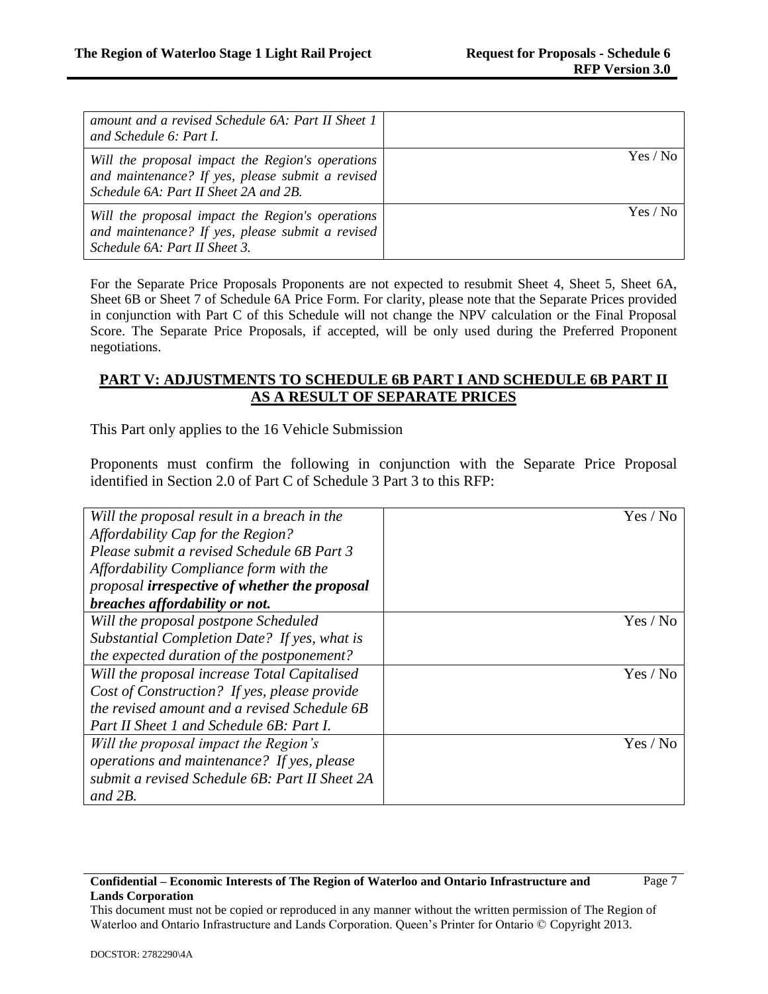| amount and a revised Schedule 6A: Part II Sheet 1<br>and Schedule 6: Part I.                                                                  |          |
|-----------------------------------------------------------------------------------------------------------------------------------------------|----------|
| Will the proposal impact the Region's operations<br>and maintenance? If yes, please submit a revised<br>Schedule 6A: Part II Sheet 2A and 2B. | Yes / No |
| Will the proposal impact the Region's operations<br>and maintenance? If yes, please submit a revised<br>Schedule 6A: Part II Sheet 3.         | Yes / No |

For the Separate Price Proposals Proponents are not expected to resubmit Sheet 4, Sheet 5, Sheet 6A, Sheet 6B or Sheet 7 of Schedule 6A Price Form. For clarity, please note that the Separate Prices provided in conjunction with Part C of this Schedule will not change the NPV calculation or the Final Proposal Score. The Separate Price Proposals, if accepted, will be only used during the Preferred Proponent negotiations.

# **PART V: ADJUSTMENTS TO SCHEDULE 6B PART I AND SCHEDULE 6B PART II AS A RESULT OF SEPARATE PRICES**

This Part only applies to the 16 Vehicle Submission

Proponents must confirm the following in conjunction with the Separate Price Proposal identified in Section 2.0 of Part C of Schedule 3 Part 3 to this RFP:

| Will the proposal result in a breach in the    | Yes / No |
|------------------------------------------------|----------|
| Affordability Cap for the Region?              |          |
| Please submit a revised Schedule 6B Part 3     |          |
| Affordability Compliance form with the         |          |
| proposal irrespective of whether the proposal  |          |
| breaches affordability or not.                 |          |
| Will the proposal postpone Scheduled           | Yes / No |
| Substantial Completion Date? If yes, what is   |          |
| the expected duration of the postponement?     |          |
| Will the proposal increase Total Capitalised   | Yes / No |
| Cost of Construction? If yes, please provide   |          |
| the revised amount and a revised Schedule 6B   |          |
| Part II Sheet 1 and Schedule 6B: Part I.       |          |
| Will the proposal impact the Region's          | Yes / No |
| operations and maintenance? If yes, please     |          |
| submit a revised Schedule 6B: Part II Sheet 2A |          |
| and $2B$ .                                     |          |

#### **Confidential – Economic Interests of The Region of Waterloo and Ontario Infrastructure and Lands Corporation**

This document must not be copied or reproduced in any manner without the written permission of The Region of Waterloo and Ontario Infrastructure and Lands Corporation. Queen's Printer for Ontario © Copyright 2013.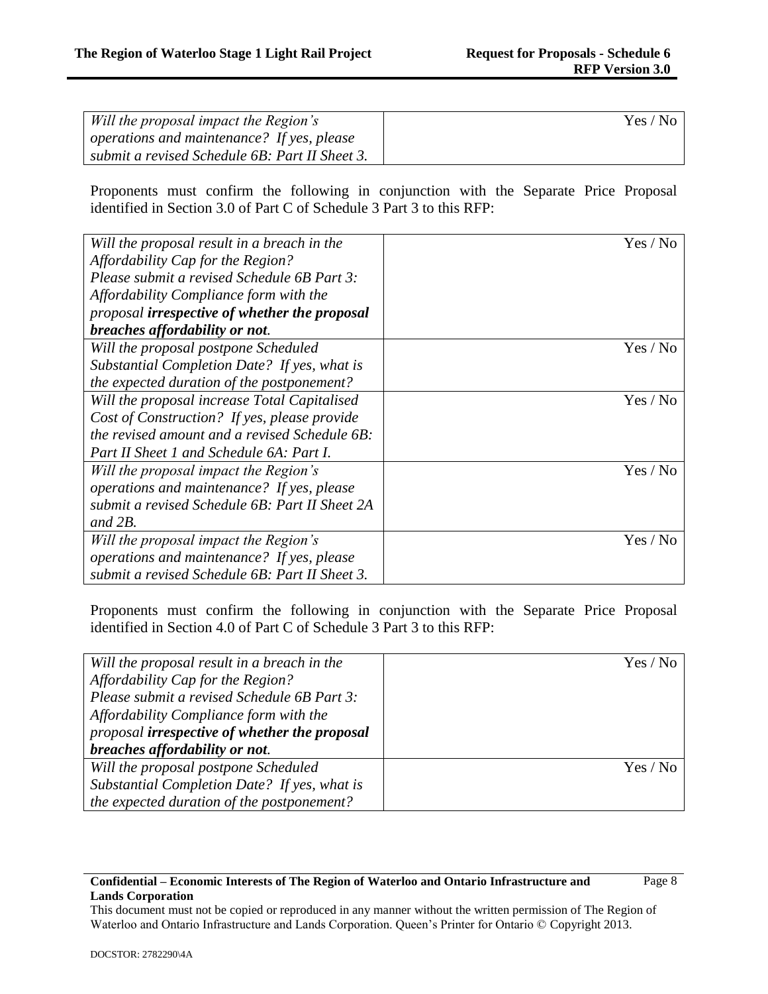Page 8

| Will the proposal impact the Region's               | Yes / No |
|-----------------------------------------------------|----------|
| $\alpha$ operations and maintenance? If yes, please |          |
| submit a revised Schedule 6B: Part II Sheet 3.      |          |

Proponents must confirm the following in conjunction with the Separate Price Proposal identified in Section 3.0 of Part C of Schedule 3 Part 3 to this RFP:

| Will the proposal result in a breach in the    | Yes / No |
|------------------------------------------------|----------|
| Affordability Cap for the Region?              |          |
| Please submit a revised Schedule 6B Part 3:    |          |
| Affordability Compliance form with the         |          |
| proposal irrespective of whether the proposal  |          |
| breaches affordability or not.                 |          |
| Will the proposal postpone Scheduled           | Yes / No |
| Substantial Completion Date? If yes, what is   |          |
| the expected duration of the postponement?     |          |
| Will the proposal increase Total Capitalised   | Yes / No |
| Cost of Construction? If yes, please provide   |          |
| the revised amount and a revised Schedule 6B:  |          |
| Part II Sheet 1 and Schedule 6A: Part I.       |          |
| Will the proposal impact the Region's          | Yes / No |
| operations and maintenance? If yes, please     |          |
| submit a revised Schedule 6B: Part II Sheet 2A |          |
| and $2B$ .                                     |          |
| Will the proposal impact the Region's          | Yes / No |
| operations and maintenance? If yes, please     |          |
| submit a revised Schedule 6B: Part II Sheet 3. |          |

Proponents must confirm the following in conjunction with the Separate Price Proposal identified in Section 4.0 of Part C of Schedule 3 Part 3 to this RFP:

| Will the proposal result in a breach in the   | Yes / No |
|-----------------------------------------------|----------|
| Affordability Cap for the Region?             |          |
| Please submit a revised Schedule 6B Part 3:   |          |
| Affordability Compliance form with the        |          |
| proposal irrespective of whether the proposal |          |
| breaches affordability or not.                |          |
| Will the proposal postpone Scheduled          | Yes / No |
| Substantial Completion Date? If yes, what is  |          |
| the expected duration of the postponement?    |          |

### **Confidential – Economic Interests of The Region of Waterloo and Ontario Infrastructure and Lands Corporation**

This document must not be copied or reproduced in any manner without the written permission of The Region of Waterloo and Ontario Infrastructure and Lands Corporation. Queen's Printer for Ontario © Copyright 2013.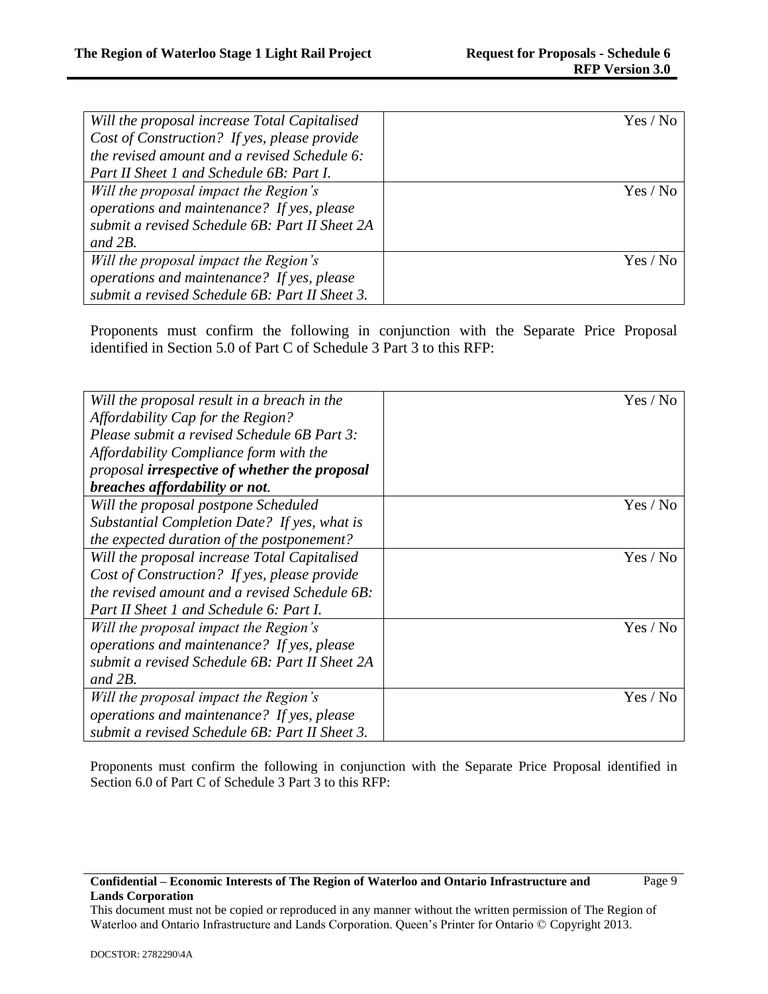Page 9

| Will the proposal increase Total Capitalised   | Yes / No |
|------------------------------------------------|----------|
| Cost of Construction? If yes, please provide   |          |
| the revised amount and a revised Schedule 6:   |          |
| Part II Sheet 1 and Schedule 6B: Part I.       |          |
| Will the proposal impact the Region's          | Yes / No |
| operations and maintenance? If yes, please     |          |
| submit a revised Schedule 6B: Part II Sheet 2A |          |
| and $2B$ .                                     |          |
| Will the proposal impact the Region's          | Yes / No |
| operations and maintenance? If yes, please     |          |
| submit a revised Schedule 6B: Part II Sheet 3. |          |

Proponents must confirm the following in conjunction with the Separate Price Proposal identified in Section 5.0 of Part C of Schedule 3 Part 3 to this RFP:

| Will the proposal result in a breach in the    | Yes / No |
|------------------------------------------------|----------|
| Affordability Cap for the Region?              |          |
| Please submit a revised Schedule 6B Part 3:    |          |
| Affordability Compliance form with the         |          |
| proposal irrespective of whether the proposal  |          |
| breaches affordability or not.                 |          |
| Will the proposal postpone Scheduled           | Yes / No |
| Substantial Completion Date? If yes, what is   |          |
| the expected duration of the postponement?     |          |
| Will the proposal increase Total Capitalised   | Yes / No |
| Cost of Construction? If yes, please provide   |          |
| the revised amount and a revised Schedule 6B:  |          |
| Part II Sheet 1 and Schedule 6: Part I.        |          |
| Will the proposal impact the Region's          | Yes / No |
| operations and maintenance? If yes, please     |          |
| submit a revised Schedule 6B: Part II Sheet 2A |          |
| and $2B$ .                                     |          |
| Will the proposal impact the Region's          | Yes / No |
| operations and maintenance? If yes, please     |          |
| submit a revised Schedule 6B: Part II Sheet 3. |          |

Proponents must confirm the following in conjunction with the Separate Price Proposal identified in Section 6.0 of Part C of Schedule 3 Part 3 to this RFP:

### **Confidential – Economic Interests of The Region of Waterloo and Ontario Infrastructure and Lands Corporation**

This document must not be copied or reproduced in any manner without the written permission of The Region of Waterloo and Ontario Infrastructure and Lands Corporation. Queen's Printer for Ontario © Copyright 2013.